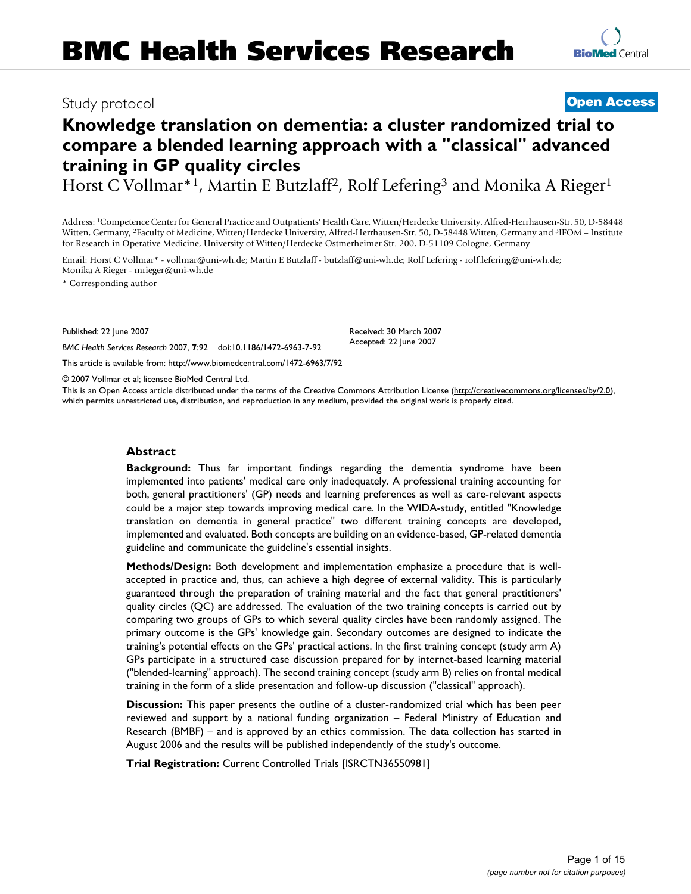# **Knowledge translation on dementia: a cluster randomized trial to compare a blended learning approach with a "classical" advanced training in GP quality circles**

Horst C Vollmar<sup>\*1</sup>, Martin E Butzlaff<sup>2</sup>, Rolf Lefering<sup>3</sup> and Monika A Rieger<sup>1</sup>

Address: 1Competence Center for General Practice and Outpatients' Health Care, Witten/Herdecke University, Alfred-Herrhausen-Str. 50, D-58448 Witten, Germany, <sup>2</sup>Faculty of Medicine, Witten/Herdecke University, Alfred-Herrhausen-Str. 50, D-58448 Witten, Germany and <sup>3</sup>IFOM – Institute for Research in Operative Medicine, University of Witten/Herdecke Ostmerheimer Str. 200, D-51109 Cologne, Germany

Email: Horst C Vollmar<sup>\*</sup> - vollmar@uni-wh.de; Martin E Butzlaff - butzlaff@uni-wh.de; Rolf Lefering - rolf.lefering@uni-wh.de; Monika A Rieger - mrieger@uni-wh.de

\* Corresponding author

Published: 22 June 2007

Received: 30 March 2007 Accepted: 22 June 2007

© 2007 Vollmar et al; licensee BioMed Central Ltd.

*BMC Health Services Research* 2007, **7**:92 doi:10.1186/1472-6963-7-92

[This article is available from: http://www.biomedcentral.com/1472-6963/7/92](http://www.biomedcentral.com/1472-6963/7/92)

This is an Open Access article distributed under the terms of the Creative Commons Attribution License [\(http://creativecommons.org/licenses/by/2.0\)](http://creativecommons.org/licenses/by/2.0), which permits unrestricted use, distribution, and reproduction in any medium, provided the original work is properly cited.

#### **Abstract**

**Background:** Thus far important findings regarding the dementia syndrome have been implemented into patients' medical care only inadequately. A professional training accounting for both, general practitioners' (GP) needs and learning preferences as well as care-relevant aspects could be a major step towards improving medical care. In the WIDA-study, entitled "Knowledge translation on dementia in general practice" two different training concepts are developed, implemented and evaluated. Both concepts are building on an evidence-based, GP-related dementia guideline and communicate the guideline's essential insights.

**Methods/Design:** Both development and implementation emphasize a procedure that is wellaccepted in practice and, thus, can achieve a high degree of external validity. This is particularly guaranteed through the preparation of training material and the fact that general practitioners' quality circles (QC) are addressed. The evaluation of the two training concepts is carried out by comparing two groups of GPs to which several quality circles have been randomly assigned. The primary outcome is the GPs' knowledge gain. Secondary outcomes are designed to indicate the training's potential effects on the GPs' practical actions. In the first training concept (study arm A) GPs participate in a structured case discussion prepared for by internet-based learning material ("blended-learning" approach). The second training concept (study arm B) relies on frontal medical training in the form of a slide presentation and follow-up discussion ("classical" approach).

**Discussion:** This paper presents the outline of a cluster-randomized trial which has been peer reviewed and support by a national funding organization – Federal Ministry of Education and Research (BMBF) – and is approved by an ethics commission. The data collection has started in August 2006 and the results will be published independently of the study's outcome.

**Trial Registration:** Current Controlled Trials [ISRCTN36550981]

**[BioMed](http://www.biomedcentral.com/)** Central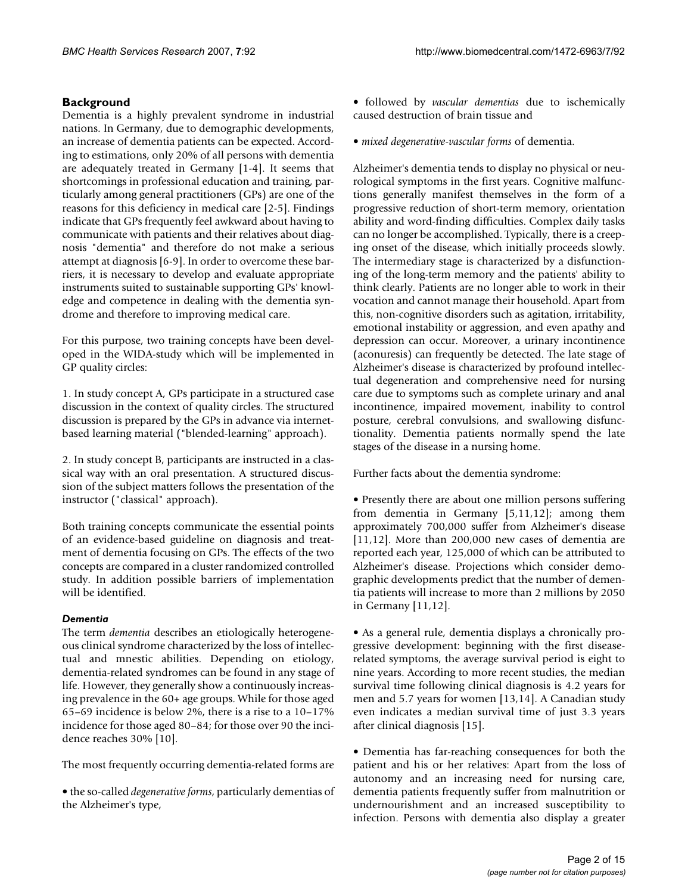# **Background**

Dementia is a highly prevalent syndrome in industrial nations. In Germany, due to demographic developments, an increase of dementia patients can be expected. According to estimations, only 20% of all persons with dementia are adequately treated in Germany [1-4]. It seems that shortcomings in professional education and training, particularly among general practitioners (GPs) are one of the reasons for this deficiency in medical care [2-5]. Findings indicate that GPs frequently feel awkward about having to communicate with patients and their relatives about diagnosis "dementia" and therefore do not make a serious attempt at diagnosis [6-9]. In order to overcome these barriers, it is necessary to develop and evaluate appropriate instruments suited to sustainable supporting GPs' knowledge and competence in dealing with the dementia syndrome and therefore to improving medical care.

For this purpose, two training concepts have been developed in the WIDA-study which will be implemented in GP quality circles:

1. In study concept A, GPs participate in a structured case discussion in the context of quality circles. The structured discussion is prepared by the GPs in advance via internetbased learning material ("blended-learning" approach).

2. In study concept B, participants are instructed in a classical way with an oral presentation. A structured discussion of the subject matters follows the presentation of the instructor ("classical" approach).

Both training concepts communicate the essential points of an evidence-based guideline on diagnosis and treatment of dementia focusing on GPs. The effects of the two concepts are compared in a cluster randomized controlled study. In addition possible barriers of implementation will be identified.

# *Dementia*

The term *dementia* describes an etiologically heterogeneous clinical syndrome characterized by the loss of intellectual and mnestic abilities. Depending on etiology, dementia-related syndromes can be found in any stage of life. However, they generally show a continuously increasing prevalence in the 60+ age groups. While for those aged 65–69 incidence is below 2%, there is a rise to a 10–17% incidence for those aged 80–84; for those over 90 the incidence reaches 30% [10].

The most frequently occurring dementia-related forms are

• the so-called *degenerative forms*, particularly dementias of the Alzheimer's type,

• followed by *vascular dementias* due to ischemically caused destruction of brain tissue and

• *mixed degenerative-vascular forms* of dementia.

Alzheimer's dementia tends to display no physical or neurological symptoms in the first years. Cognitive malfunctions generally manifest themselves in the form of a progressive reduction of short-term memory, orientation ability and word-finding difficulties. Complex daily tasks can no longer be accomplished. Typically, there is a creeping onset of the disease, which initially proceeds slowly. The intermediary stage is characterized by a disfunctioning of the long-term memory and the patients' ability to think clearly. Patients are no longer able to work in their vocation and cannot manage their household. Apart from this, non-cognitive disorders such as agitation, irritability, emotional instability or aggression, and even apathy and depression can occur. Moreover, a urinary incontinence (aconuresis) can frequently be detected. The late stage of Alzheimer's disease is characterized by profound intellectual degeneration and comprehensive need for nursing care due to symptoms such as complete urinary and anal incontinence, impaired movement, inability to control posture, cerebral convulsions, and swallowing disfunctionality. Dementia patients normally spend the late stages of the disease in a nursing home.

Further facts about the dementia syndrome:

• Presently there are about one million persons suffering from dementia in Germany [5,11,12]; among them approximately 700,000 suffer from Alzheimer's disease [11,12]. More than 200,000 new cases of dementia are reported each year, 125,000 of which can be attributed to Alzheimer's disease. Projections which consider demographic developments predict that the number of dementia patients will increase to more than 2 millions by 2050 in Germany [11,12].

• As a general rule, dementia displays a chronically progressive development: beginning with the first diseaserelated symptoms, the average survival period is eight to nine years. According to more recent studies, the median survival time following clinical diagnosis is 4.2 years for men and 5.7 years for women [13,14]. A Canadian study even indicates a median survival time of just 3.3 years after clinical diagnosis [15].

• Dementia has far-reaching consequences for both the patient and his or her relatives: Apart from the loss of autonomy and an increasing need for nursing care, dementia patients frequently suffer from malnutrition or undernourishment and an increased susceptibility to infection. Persons with dementia also display a greater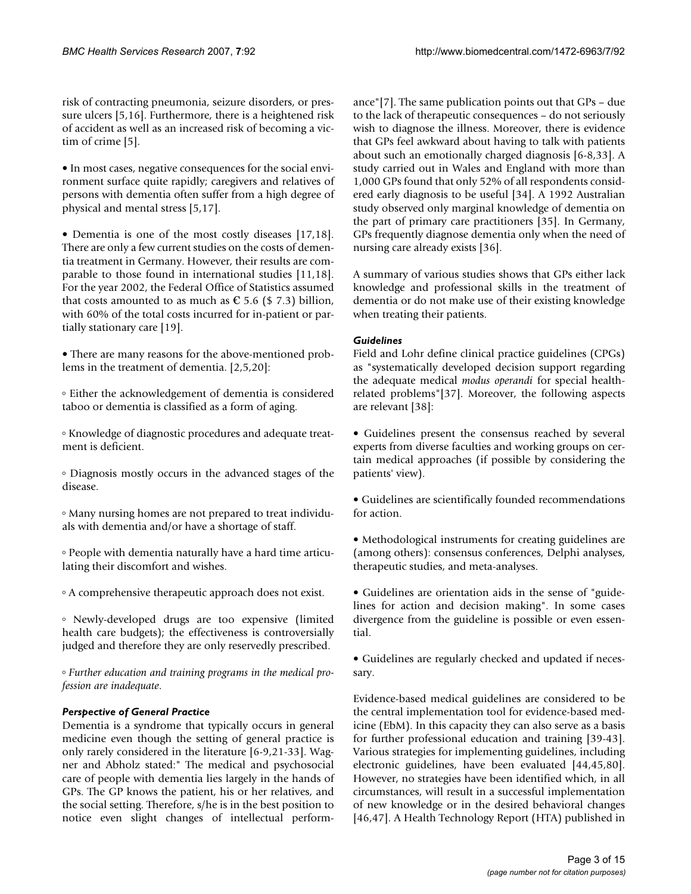risk of contracting pneumonia, seizure disorders, or pressure ulcers [5,16]. Furthermore, there is a heightened risk of accident as well as an increased risk of becoming a victim of crime [5].

• In most cases, negative consequences for the social environment surface quite rapidly; caregivers and relatives of persons with dementia often suffer from a high degree of physical and mental stress [5,17].

• Dementia is one of the most costly diseases [17,18]. There are only a few current studies on the costs of dementia treatment in Germany. However, their results are comparable to those found in international studies [11,18]. For the year 2002, the Federal Office of Statistics assumed that costs amounted to as much as  $\mathcal{C}$  5.6 (\$7.3) billion, with 60% of the total costs incurred for in-patient or partially stationary care [19].

• There are many reasons for the above-mentioned problems in the treatment of dementia. [2,5,20]:

- Either the acknowledgement of dementia is considered taboo or dementia is classified as a form of aging.

- Knowledge of diagnostic procedures and adequate treatment is deficient.

- Diagnosis mostly occurs in the advanced stages of the disease.

- Many nursing homes are not prepared to treat individuals with dementia and/or have a shortage of staff.

- People with dementia naturally have a hard time articulating their discomfort and wishes.

- A comprehensive therapeutic approach does not exist.

- Newly-developed drugs are too expensive (limited health care budgets); the effectiveness is controversially judged and therefore they are only reservedly prescribed.

- *Further education and training programs in the medical profession are inadequate*.

# *Perspective of General Practice*

Dementia is a syndrome that typically occurs in general medicine even though the setting of general practice is only rarely considered in the literature [6-9,21-33]. Wagner and Abholz stated:" The medical and psychosocial care of people with dementia lies largely in the hands of GPs. The GP knows the patient, his or her relatives, and the social setting. Therefore, s/he is in the best position to notice even slight changes of intellectual performance"[7]. The same publication points out that GPs – due to the lack of therapeutic consequences – do not seriously wish to diagnose the illness. Moreover, there is evidence that GPs feel awkward about having to talk with patients about such an emotionally charged diagnosis [6-8,33]. A study carried out in Wales and England with more than 1,000 GPs found that only 52% of all respondents considered early diagnosis to be useful [34]. A 1992 Australian study observed only marginal knowledge of dementia on the part of primary care practitioners [35]. In Germany, GPs frequently diagnose dementia only when the need of nursing care already exists [36].

A summary of various studies shows that GPs either lack knowledge and professional skills in the treatment of dementia or do not make use of their existing knowledge when treating their patients.

# *Guidelines*

Field and Lohr define clinical practice guidelines (CPGs) as "systematically developed decision support regarding the adequate medical *modus operandi* for special healthrelated problems"[37]. Moreover, the following aspects are relevant [38]:

• Guidelines present the consensus reached by several experts from diverse faculties and working groups on certain medical approaches (if possible by considering the patients' view).

• Guidelines are scientifically founded recommendations for action.

• Methodological instruments for creating guidelines are (among others): consensus conferences, Delphi analyses, therapeutic studies, and meta-analyses.

• Guidelines are orientation aids in the sense of "guidelines for action and decision making". In some cases divergence from the guideline is possible or even essential.

• Guidelines are regularly checked and updated if necessary.

Evidence-based medical guidelines are considered to be the central implementation tool for evidence-based medicine (EbM). In this capacity they can also serve as a basis for further professional education and training [39-43]. Various strategies for implementing guidelines, including electronic guidelines, have been evaluated [44,45,80]. However, no strategies have been identified which, in all circumstances, will result in a successful implementation of new knowledge or in the desired behavioral changes [46,47]. A Health Technology Report (HTA) published in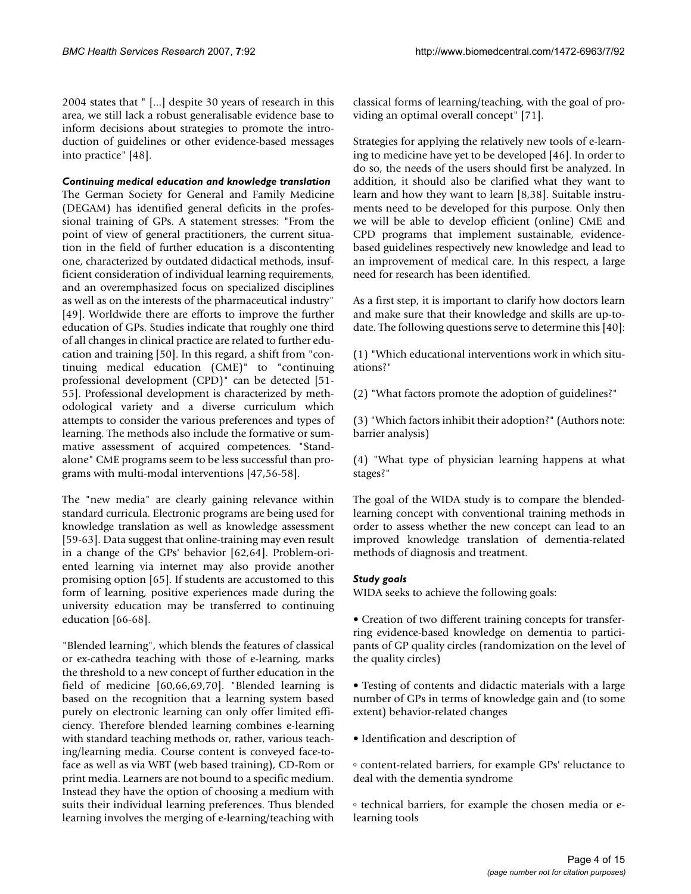2004 states that " [...] despite 30 years of research in this area, we still lack a robust generalisable evidence base to inform decisions about strategies to promote the introduction of guidelines or other evidence-based messages into practice" [48].

# *Continuing medical education and knowledge translation*

The German Society for General and Family Medicine (DEGAM) has identified general deficits in the professional training of GPs. A statement stresses: "From the point of view of general practitioners, the current situation in the field of further education is a discontenting one, characterized by outdated didactical methods, insufficient consideration of individual learning requirements, and an overemphasized focus on specialized disciplines as well as on the interests of the pharmaceutical industry" [49]. Worldwide there are efforts to improve the further education of GPs. Studies indicate that roughly one third of all changes in clinical practice are related to further education and training [50]. In this regard, a shift from "continuing medical education (CME)" to "continuing professional development (CPD)" can be detected [51- 55]. Professional development is characterized by methodological variety and a diverse curriculum which attempts to consider the various preferences and types of learning. The methods also include the formative or summative assessment of acquired competences. "Standalone" CME programs seem to be less successful than programs with multi-modal interventions [47,56-58].

The "new media" are clearly gaining relevance within standard curricula. Electronic programs are being used for knowledge translation as well as knowledge assessment [59-63]. Data suggest that online-training may even result in a change of the GPs' behavior [62,64]. Problem-oriented learning via internet may also provide another promising option [65]. If students are accustomed to this form of learning, positive experiences made during the university education may be transferred to continuing education [66-68].

"Blended learning", which blends the features of classical or ex-cathedra teaching with those of e-learning, marks the threshold to a new concept of further education in the field of medicine [60,66,69,70]. "Blended learning is based on the recognition that a learning system based purely on electronic learning can only offer limited efficiency. Therefore blended learning combines e-learning with standard teaching methods or, rather, various teaching/learning media. Course content is conveyed face-toface as well as via WBT (web based training), CD-Rom or print media. Learners are not bound to a specific medium. Instead they have the option of choosing a medium with suits their individual learning preferences. Thus blended learning involves the merging of e-learning/teaching with

classical forms of learning/teaching, with the goal of providing an optimal overall concept" [71].

Strategies for applying the relatively new tools of e-learning to medicine have yet to be developed [46]. In order to do so, the needs of the users should first be analyzed. In addition, it should also be clarified what they want to learn and how they want to learn [8,38]. Suitable instruments need to be developed for this purpose. Only then we will be able to develop efficient (online) CME and CPD programs that implement sustainable, evidencebased guidelines respectively new knowledge and lead to an improvement of medical care. In this respect, a large need for research has been identified.

As a first step, it is important to clarify how doctors learn and make sure that their knowledge and skills are up-todate. The following questions serve to determine this [40]:

(1) "Which educational interventions work in which situations?"

(2) "What factors promote the adoption of guidelines?"

(3) "Which factors inhibit their adoption?" (Authors note: barrier analysis)

(4) "What type of physician learning happens at what stages?"

The goal of the WIDA study is to compare the blendedlearning concept with conventional training methods in order to assess whether the new concept can lead to an improved knowledge translation of dementia-related methods of diagnosis and treatment.

# *Study goals*

WIDA seeks to achieve the following goals:

• Creation of two different training concepts for transferring evidence-based knowledge on dementia to participants of GP quality circles (randomization on the level of the quality circles)

• Testing of contents and didactic materials with a large number of GPs in terms of knowledge gain and (to some extent) behavior-related changes

• Identification and description of

- content-related barriers, for example GPs' reluctance to deal with the dementia syndrome

- technical barriers, for example the chosen media or elearning tools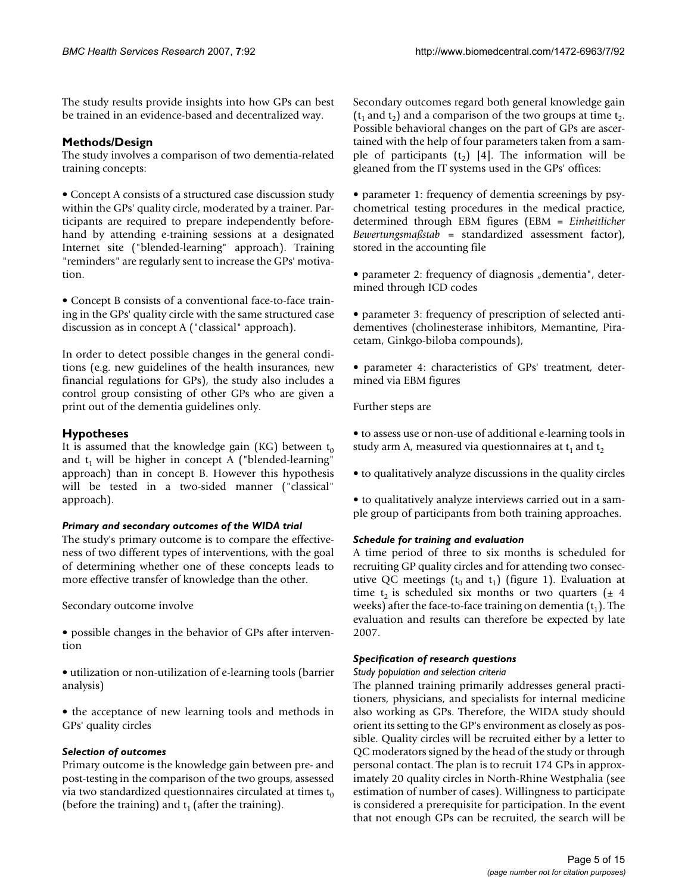The study results provide insights into how GPs can best be trained in an evidence-based and decentralized way.

# **Methods/Design**

The study involves a comparison of two dementia-related training concepts:

• Concept A consists of a structured case discussion study within the GPs' quality circle, moderated by a trainer. Participants are required to prepare independently beforehand by attending e-training sessions at a designated Internet site ("blended-learning" approach). Training "reminders" are regularly sent to increase the GPs' motivation.

• Concept B consists of a conventional face-to-face training in the GPs' quality circle with the same structured case discussion as in concept A ("classical" approach).

In order to detect possible changes in the general conditions (e.g. new guidelines of the health insurances, new financial regulations for GPs), the study also includes a control group consisting of other GPs who are given a print out of the dementia guidelines only.

# **Hypotheses**

It is assumed that the knowledge gain (KG) between  $t_0$ and  $t_1$  will be higher in concept A ("blended-learning" approach) than in concept B. However this hypothesis will be tested in a two-sided manner ("classical" approach).

# *Primary and secondary outcomes of the WIDA trial*

The study's primary outcome is to compare the effectiveness of two different types of interventions, with the goal of determining whether one of these concepts leads to more effective transfer of knowledge than the other.

Secondary outcome involve

- possible changes in the behavior of GPs after intervention
- utilization or non-utilization of e-learning tools (barrier analysis)
- the acceptance of new learning tools and methods in GPs' quality circles

# *Selection of outcomes*

Primary outcome is the knowledge gain between pre- and post-testing in the comparison of the two groups, assessed via two standardized questionnaires circulated at times  $t_0$ (before the training) and  $t_1$  (after the training).

Secondary outcomes regard both general knowledge gain  $(t_1$  and  $t_2$ ) and a comparison of the two groups at time  $t_2$ . Possible behavioral changes on the part of GPs are ascertained with the help of four parameters taken from a sample of participants  $(t_2)$  [4]. The information will be gleaned from the IT systems used in the GPs' offices:

• parameter 1: frequency of dementia screenings by psychometrical testing procedures in the medical practice, determined through EBM figures (EBM = *Einheitlicher Bewertungsmaßstab* = standardized assessment factor), stored in the accounting file

• parameter 2: frequency of diagnosis "dementia", determined through ICD codes

• parameter 3: frequency of prescription of selected antidementives (cholinesterase inhibitors, Memantine, Piracetam, Ginkgo-biloba compounds),

• parameter 4: characteristics of GPs' treatment, determined via EBM figures

Further steps are

• to assess use or non-use of additional e-learning tools in study arm A, measured via questionnaires at  $t_1$  and  $t_2$ 

• to qualitatively analyze discussions in the quality circles

• to qualitatively analyze interviews carried out in a sample group of participants from both training approaches.

# *Schedule for training and evaluation*

A time period of three to six months is scheduled for recruiting GP quality circles and for attending two consecutive QC meetings ( $t_0$  and  $t_1$ ) (figure 1). Evaluation at time t<sub>2</sub> is scheduled six months or two quarters ( $\pm$  4 weeks) after the face-to-face training on dementia  $(t_1)$ . The evaluation and results can therefore be expected by late 2007.

# *Specification of research questions*

#### *Study population and selection criteria*

The planned training primarily addresses general practitioners, physicians, and specialists for internal medicine also working as GPs. Therefore, the WIDA study should orient its setting to the GP's environment as closely as possible. Quality circles will be recruited either by a letter to QC moderators signed by the head of the study or through personal contact. The plan is to recruit 174 GPs in approximately 20 quality circles in North-Rhine Westphalia (see estimation of number of cases). Willingness to participate is considered a prerequisite for participation. In the event that not enough GPs can be recruited, the search will be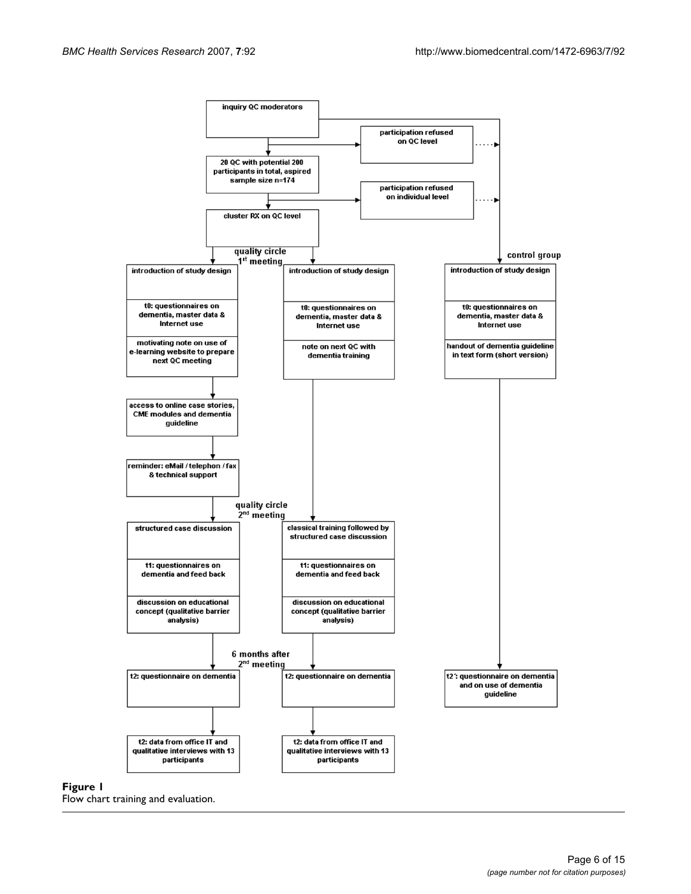

Flow chart training and evaluation.

Figure 1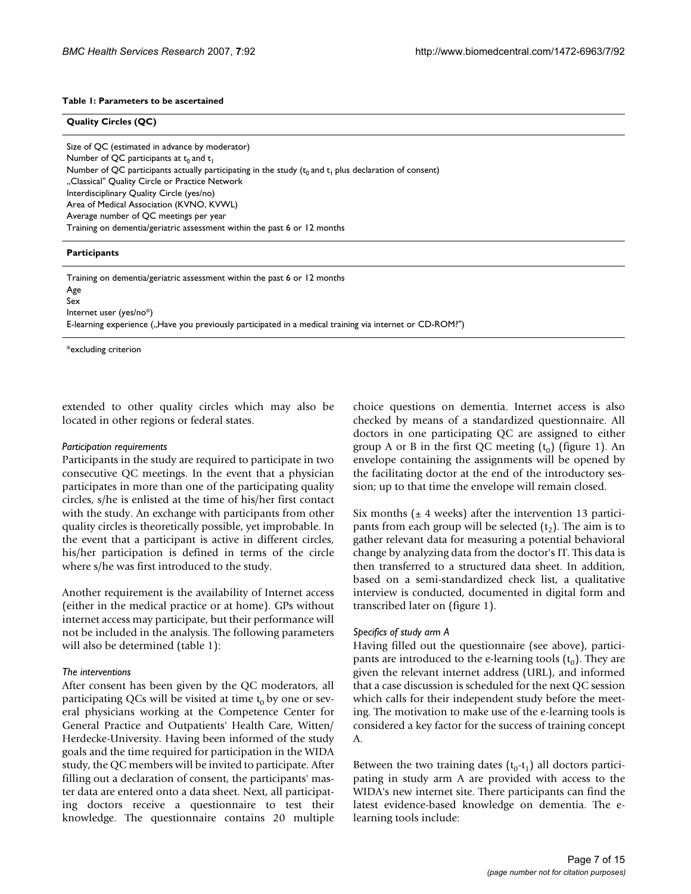# **Table 1: Parameters to be ascertained**

#### **Quality Circles (QC)**

Size of QC (estimated in advance by moderator) Number of QC participants at  $t_0$  and  $t_1$ Number of QC participants actually participating in the study ( $t_0$  and  $t_1$  plus declaration of consent) "Classical" Ouality Circle or Practice Network Interdisciplinary Quality Circle (yes/no) Area of Medical Association (KVNO, KVWL) Average number of QC meetings per year Training on dementia/geriatric assessment within the past 6 or 12 months

#### **Participants**

Training on dementia/geriatric assessment within the past 6 or 12 months Age Sex Internet user (yes/no\*) E-learning experience ("Have you previously participated in a medical training via internet or CD-ROM?")

\*excluding criterion

extended to other quality circles which may also be located in other regions or federal states.

#### *Participation requirements*

Participants in the study are required to participate in two consecutive QC meetings. In the event that a physician participates in more than one of the participating quality circles, s/he is enlisted at the time of his/her first contact with the study. An exchange with participants from other quality circles is theoretically possible, yet improbable. In the event that a participant is active in different circles, his/her participation is defined in terms of the circle where s/he was first introduced to the study.

Another requirement is the availability of Internet access (either in the medical practice or at home). GPs without internet access may participate, but their performance will not be included in the analysis. The following parameters will also be determined (table 1):

#### *The interventions*

After consent has been given by the QC moderators, all participating QCs will be visited at time  $t_0$  by one or several physicians working at the Competence Center for General Practice and Outpatients' Health Care, Witten/ Herdecke-University. Having been informed of the study goals and the time required for participation in the WIDA study, the QC members will be invited to participate. After filling out a declaration of consent, the participants' master data are entered onto a data sheet. Next, all participating doctors receive a questionnaire to test their knowledge. The questionnaire contains 20 multiple choice questions on dementia. Internet access is also checked by means of a standardized questionnaire. All doctors in one participating QC are assigned to either group A or B in the first QC meeting  $(t_0)$  (figure 1). An envelope containing the assignments will be opened by the facilitating doctor at the end of the introductory session; up to that time the envelope will remain closed.

Six months ( $\pm$  4 weeks) after the intervention 13 participants from each group will be selected  $(t_2)$ . The aim is to gather relevant data for measuring a potential behavioral change by analyzing data from the doctor's IT. This data is then transferred to a structured data sheet. In addition, based on a semi-standardized check list, a qualitative interview is conducted, documented in digital form and transcribed later on (figure 1).

#### *Specifics of study arm A*

Having filled out the questionnaire (see above), participants are introduced to the e-learning tools  $(t_0)$ . They are given the relevant internet address (URL), and informed that a case discussion is scheduled for the next QC session which calls for their independent study before the meeting. The motivation to make use of the e-learning tools is considered a key factor for the success of training concept A.

Between the two training dates  $(t_0-t_1)$  all doctors participating in study arm A are provided with access to the WIDA's new internet site. There participants can find the latest evidence-based knowledge on dementia. The elearning tools include: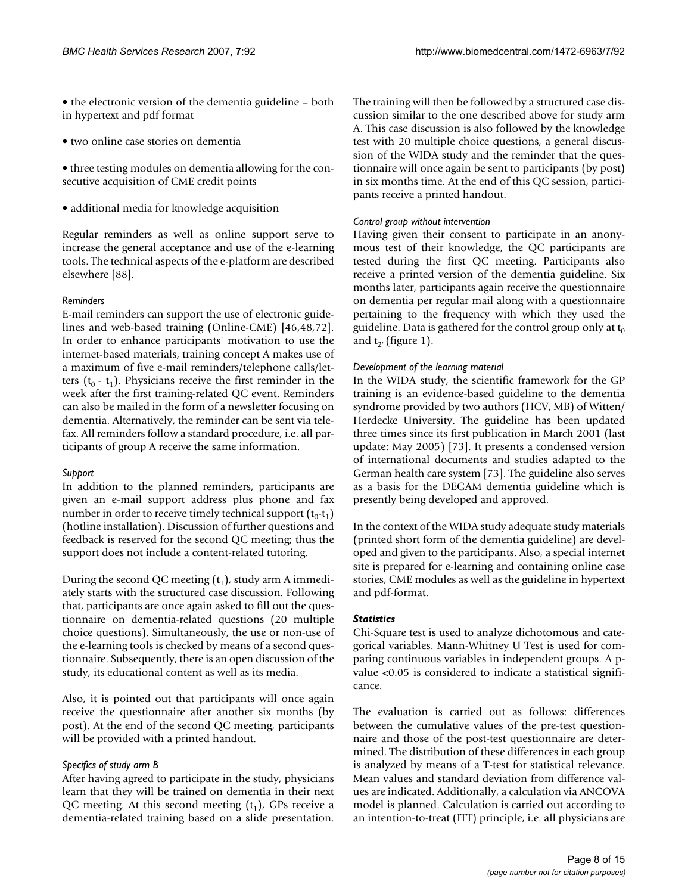- the electronic version of the dementia guideline both in hypertext and pdf format
- two online case stories on dementia
- three testing modules on dementia allowing for the consecutive acquisition of CME credit points
- additional media for knowledge acquisition

Regular reminders as well as online support serve to increase the general acceptance and use of the e-learning tools. The technical aspects of the e-platform are described elsewhere [88].

# *Reminders*

E-mail reminders can support the use of electronic guidelines and web-based training (Online-CME) [46,48,72]. In order to enhance participants' motivation to use the internet-based materials, training concept A makes use of a maximum of five e-mail reminders/telephone calls/letters ( $t_0$  -  $t_1$ ). Physicians receive the first reminder in the week after the first training-related QC event. Reminders can also be mailed in the form of a newsletter focusing on dementia. Alternatively, the reminder can be sent via telefax. All reminders follow a standard procedure, i.e. all participants of group A receive the same information.

# *Support*

In addition to the planned reminders, participants are given an e-mail support address plus phone and fax number in order to receive timely technical support  $(t_0-t_1)$ (hotline installation). Discussion of further questions and feedback is reserved for the second QC meeting; thus the support does not include a content-related tutoring.

During the second QC meeting  $(t_1)$ , study arm A immediately starts with the structured case discussion. Following that, participants are once again asked to fill out the questionnaire on dementia-related questions (20 multiple choice questions). Simultaneously, the use or non-use of the e-learning tools is checked by means of a second questionnaire. Subsequently, there is an open discussion of the study, its educational content as well as its media.

Also, it is pointed out that participants will once again receive the questionnaire after another six months (by post). At the end of the second QC meeting, participants will be provided with a printed handout.

# *Specifics of study arm B*

After having agreed to participate in the study, physicians learn that they will be trained on dementia in their next QC meeting. At this second meeting  $(t_1)$ , GPs receive a dementia-related training based on a slide presentation.

The training will then be followed by a structured case discussion similar to the one described above for study arm A. This case discussion is also followed by the knowledge test with 20 multiple choice questions, a general discussion of the WIDA study and the reminder that the questionnaire will once again be sent to participants (by post) in six months time. At the end of this QC session, participants receive a printed handout.

# *Control group without intervention*

Having given their consent to participate in an anonymous test of their knowledge, the QC participants are tested during the first QC meeting. Participants also receive a printed version of the dementia guideline. Six months later, participants again receive the questionnaire on dementia per regular mail along with a questionnaire pertaining to the frequency with which they used the guideline. Data is gathered for the control group only at  $t_0$ and  $t<sub>2</sub>$  (figure 1).

# *Development of the learning material*

In the WIDA study, the scientific framework for the GP training is an evidence-based guideline to the dementia syndrome provided by two authors (HCV, MB) of Witten/ Herdecke University. The guideline has been updated three times since its first publication in March 2001 (last update: May 2005) [73]. It presents a condensed version of international documents and studies adapted to the German health care system [73]. The guideline also serves as a basis for the DEGAM dementia guideline which is presently being developed and approved.

In the context of the WIDA study adequate study materials (printed short form of the dementia guideline) are developed and given to the participants. Also, a special internet site is prepared for e-learning and containing online case stories, CME modules as well as the guideline in hypertext and pdf-format.

# *Statistics*

Chi-Square test is used to analyze dichotomous and categorical variables. Mann-Whitney U Test is used for comparing continuous variables in independent groups. A pvalue <0.05 is considered to indicate a statistical significance.

The evaluation is carried out as follows: differences between the cumulative values of the pre-test questionnaire and those of the post-test questionnaire are determined. The distribution of these differences in each group is analyzed by means of a T-test for statistical relevance. Mean values and standard deviation from difference values are indicated. Additionally, a calculation via ANCOVA model is planned. Calculation is carried out according to an intention-to-treat (ITT) principle, i.e. all physicians are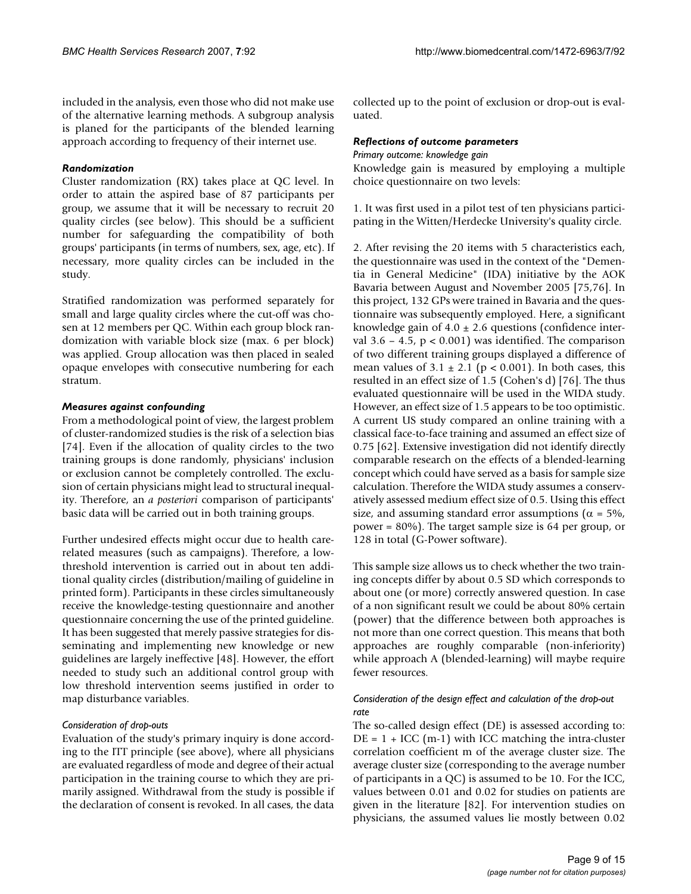included in the analysis, even those who did not make use of the alternative learning methods. A subgroup analysis is planed for the participants of the blended learning approach according to frequency of their internet use.

# *Randomization*

Cluster randomization (RX) takes place at QC level. In order to attain the aspired base of 87 participants per group, we assume that it will be necessary to recruit 20 quality circles (see below). This should be a sufficient number for safeguarding the compatibility of both groups' participants (in terms of numbers, sex, age, etc). If necessary, more quality circles can be included in the study.

Stratified randomization was performed separately for small and large quality circles where the cut-off was chosen at 12 members per QC. Within each group block randomization with variable block size (max. 6 per block) was applied. Group allocation was then placed in sealed opaque envelopes with consecutive numbering for each stratum.

#### *Measures against confounding*

From a methodological point of view, the largest problem of cluster-randomized studies is the risk of a selection bias [74]. Even if the allocation of quality circles to the two training groups is done randomly, physicians' inclusion or exclusion cannot be completely controlled. The exclusion of certain physicians might lead to structural inequality. Therefore, an *a posteriori* comparison of participants' basic data will be carried out in both training groups.

Further undesired effects might occur due to health carerelated measures (such as campaigns). Therefore, a lowthreshold intervention is carried out in about ten additional quality circles (distribution/mailing of guideline in printed form). Participants in these circles simultaneously receive the knowledge-testing questionnaire and another questionnaire concerning the use of the printed guideline. It has been suggested that merely passive strategies for disseminating and implementing new knowledge or new guidelines are largely ineffective [48]. However, the effort needed to study such an additional control group with low threshold intervention seems justified in order to map disturbance variables.

# *Consideration of drop-outs*

Evaluation of the study's primary inquiry is done according to the ITT principle (see above), where all physicians are evaluated regardless of mode and degree of their actual participation in the training course to which they are primarily assigned. Withdrawal from the study is possible if the declaration of consent is revoked. In all cases, the data

collected up to the point of exclusion or drop-out is evaluated.

# *Reflections of outcome parameters*

*Primary outcome: knowledge gain*

Knowledge gain is measured by employing a multiple choice questionnaire on two levels:

1. It was first used in a pilot test of ten physicians participating in the Witten/Herdecke University's quality circle.

2. After revising the 20 items with 5 characteristics each, the questionnaire was used in the context of the "Dementia in General Medicine" (IDA) initiative by the AOK Bavaria between August and November 2005 [75,76]. In this project, 132 GPs were trained in Bavaria and the questionnaire was subsequently employed. Here, a significant knowledge gain of  $4.0 \pm 2.6$  questions (confidence interval  $3.6 - 4.5$ ,  $p < 0.001$ ) was identified. The comparison of two different training groups displayed a difference of mean values of  $3.1 \pm 2.1$  (p < 0.001). In both cases, this resulted in an effect size of 1.5 (Cohen's d) [76]. The thus evaluated questionnaire will be used in the WIDA study. However, an effect size of 1.5 appears to be too optimistic. A current US study compared an online training with a classical face-to-face training and assumed an effect size of 0.75 [62]. Extensive investigation did not identify directly comparable research on the effects of a blended-learning concept which could have served as a basis for sample size calculation. Therefore the WIDA study assumes a conservatively assessed medium effect size of 0.5. Using this effect size, and assuming standard error assumptions ( $\alpha = 5\%$ , power = 80%). The target sample size is 64 per group, or 128 in total (G-Power software).

This sample size allows us to check whether the two training concepts differ by about 0.5 SD which corresponds to about one (or more) correctly answered question. In case of a non significant result we could be about 80% certain (power) that the difference between both approaches is not more than one correct question. This means that both approaches are roughly comparable (non-inferiority) while approach A (blended-learning) will maybe require fewer resources.

# *Consideration of the design effect and calculation of the drop-out rate*

The so-called design effect (DE) is assessed according to:  $DE = 1 + ICC$  (m-1) with ICC matching the intra-cluster correlation coefficient m of the average cluster size. The average cluster size (corresponding to the average number of participants in a QC) is assumed to be 10. For the ICC, values between 0.01 and 0.02 for studies on patients are given in the literature [82]. For intervention studies on physicians, the assumed values lie mostly between 0.02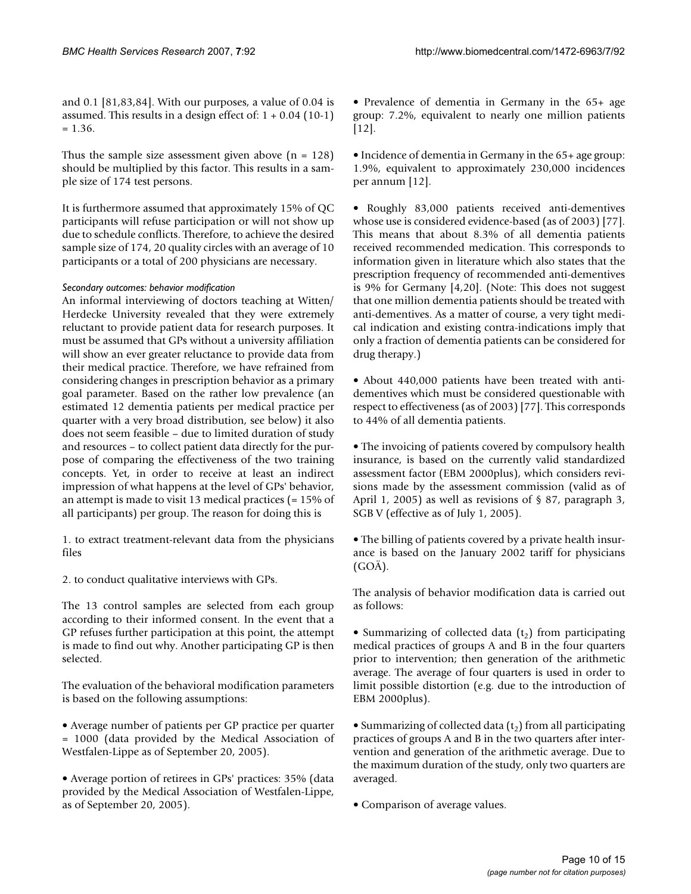and 0.1 [81,83,84]. With our purposes, a value of 0.04 is assumed. This results in a design effect of:  $1 + 0.04$  (10-1)  $= 1.36.$ 

Thus the sample size assessment given above  $(n = 128)$ should be multiplied by this factor. This results in a sample size of 174 test persons.

It is furthermore assumed that approximately 15% of QC participants will refuse participation or will not show up due to schedule conflicts. Therefore, to achieve the desired sample size of 174, 20 quality circles with an average of 10 participants or a total of 200 physicians are necessary.

# *Secondary outcomes: behavior modification*

An informal interviewing of doctors teaching at Witten/ Herdecke University revealed that they were extremely reluctant to provide patient data for research purposes. It must be assumed that GPs without a university affiliation will show an ever greater reluctance to provide data from their medical practice. Therefore, we have refrained from considering changes in prescription behavior as a primary goal parameter. Based on the rather low prevalence (an estimated 12 dementia patients per medical practice per quarter with a very broad distribution, see below) it also does not seem feasible – due to limited duration of study and resources – to collect patient data directly for the purpose of comparing the effectiveness of the two training concepts. Yet, in order to receive at least an indirect impression of what happens at the level of GPs' behavior, an attempt is made to visit 13 medical practices (= 15% of all participants) per group. The reason for doing this is

1. to extract treatment-relevant data from the physicians files

2. to conduct qualitative interviews with GPs.

The 13 control samples are selected from each group according to their informed consent. In the event that a GP refuses further participation at this point, the attempt is made to find out why. Another participating GP is then selected.

The evaluation of the behavioral modification parameters is based on the following assumptions:

• Average number of patients per GP practice per quarter = 1000 (data provided by the Medical Association of Westfalen-Lippe as of September 20, 2005).

• Average portion of retirees in GPs' practices: 35% (data provided by the Medical Association of Westfalen-Lippe, as of September 20, 2005).

• Prevalence of dementia in Germany in the 65+ age group: 7.2%, equivalent to nearly one million patients [12].

• Incidence of dementia in Germany in the 65+ age group: 1.9%, equivalent to approximately 230,000 incidences per annum [12].

• Roughly 83,000 patients received anti-dementives whose use is considered evidence-based (as of 2003) [77]. This means that about 8.3% of all dementia patients received recommended medication. This corresponds to information given in literature which also states that the prescription frequency of recommended anti-dementives is 9% for Germany [4,20]. (Note: This does not suggest that one million dementia patients should be treated with anti-dementives. As a matter of course, a very tight medical indication and existing contra-indications imply that only a fraction of dementia patients can be considered for drug therapy.)

• About 440,000 patients have been treated with antidementives which must be considered questionable with respect to effectiveness (as of 2003) [77]. This corresponds to 44% of all dementia patients.

• The invoicing of patients covered by compulsory health insurance, is based on the currently valid standardized assessment factor (EBM 2000plus), which considers revisions made by the assessment commission (valid as of April 1, 2005) as well as revisions of § 87, paragraph 3, SGB V (effective as of July 1, 2005).

• The billing of patients covered by a private health insurance is based on the January 2002 tariff for physicians (GOÄ).

The analysis of behavior modification data is carried out as follows:

• Summarizing of collected data  $(t<sub>2</sub>)$  from participating medical practices of groups A and B in the four quarters prior to intervention; then generation of the arithmetic average. The average of four quarters is used in order to limit possible distortion (e.g. due to the introduction of EBM 2000plus).

• Summarizing of collected data  $(t<sub>2</sub>)$  from all participating practices of groups A and B in the two quarters after intervention and generation of the arithmetic average. Due to the maximum duration of the study, only two quarters are averaged.

• Comparison of average values.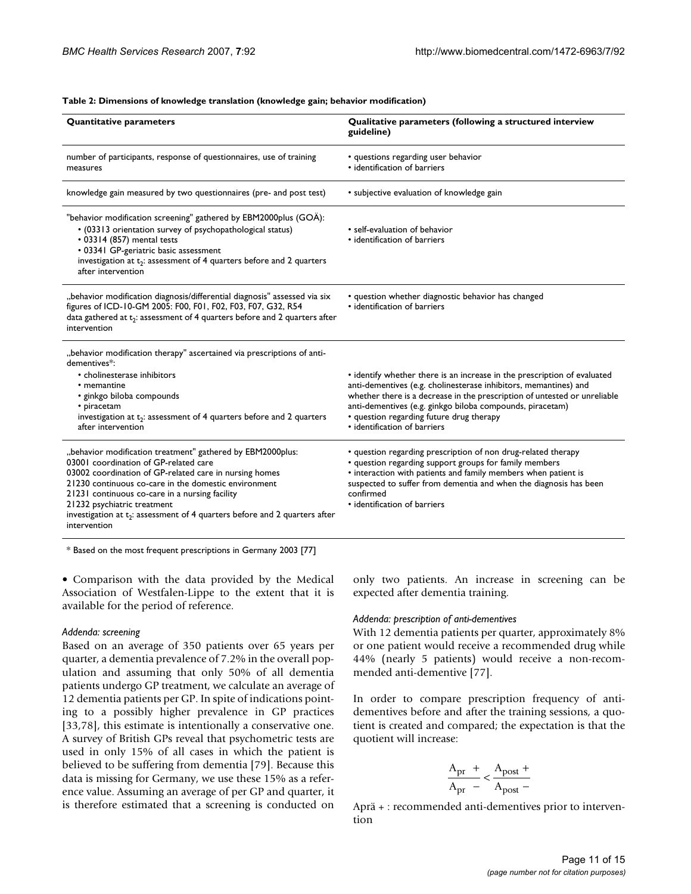#### **Table 2: Dimensions of knowledge translation (knowledge gain; behavior modification)**

| <b>Quantitative parameters</b>                                                                                                                                                                                                                                                                                                                                                                          | Qualitative parameters (following a structured interview<br>guideline)                                                                                                                                                                                                                                                                                             |
|---------------------------------------------------------------------------------------------------------------------------------------------------------------------------------------------------------------------------------------------------------------------------------------------------------------------------------------------------------------------------------------------------------|--------------------------------------------------------------------------------------------------------------------------------------------------------------------------------------------------------------------------------------------------------------------------------------------------------------------------------------------------------------------|
| number of participants, response of questionnaires, use of training<br>measures                                                                                                                                                                                                                                                                                                                         | · questions regarding user behavior<br>• identification of barriers                                                                                                                                                                                                                                                                                                |
| knowledge gain measured by two questionnaires (pre- and post test)                                                                                                                                                                                                                                                                                                                                      | • subjective evaluation of knowledge gain                                                                                                                                                                                                                                                                                                                          |
| "behavior modification screening" gathered by EBM2000plus (GOA):<br>• (03313 orientation survey of psychopathological status)<br>• 03314 (857) mental tests<br>• 03341 GP-geriatric basic assessment<br>investigation at $t_2$ : assessment of 4 quarters before and 2 quarters<br>after intervention                                                                                                   | • self-evaluation of behavior<br>• identification of barriers                                                                                                                                                                                                                                                                                                      |
| "behavior modification diagnosis/differential diagnosis" assessed via six<br>figures of ICD-10-GM 2005: F00, F01, F02, F03, F07, G32, R54<br>data gathered at t <sub>2</sub> : assessment of 4 quarters before and 2 quarters after<br>intervention                                                                                                                                                     | • question whether diagnostic behavior has changed<br>• identification of barriers                                                                                                                                                                                                                                                                                 |
| "behavior modification therapy" ascertained via prescriptions of anti-<br>dementives*:                                                                                                                                                                                                                                                                                                                  |                                                                                                                                                                                                                                                                                                                                                                    |
| • cholinesterase inhibitors<br>• memantine<br>· ginkgo biloba compounds<br>• piracetam<br>investigation at $t_2$ : assessment of 4 quarters before and 2 quarters<br>after intervention                                                                                                                                                                                                                 | • identify whether there is an increase in the prescription of evaluated<br>anti-dementives (e.g. cholinesterase inhibitors, memantines) and<br>whether there is a decrease in the prescription of untested or unreliable<br>anti-dementives (e.g. ginkgo biloba compounds, piracetam)<br>• question regarding future drug therapy<br>· identification of barriers |
| "behavior modification treatment" gathered by EBM2000plus:<br>03001 coordination of GP-related care<br>03002 coordination of GP-related care in nursing homes<br>21230 continuous co-care in the domestic environment<br>21231 continuous co-care in a nursing facility<br>21232 psychiatric treatment<br>investigation at $t_2$ : assessment of 4 quarters before and 2 quarters after<br>intervention | • question regarding prescription of non drug-related therapy<br>• question regarding support groups for family members<br>• interaction with patients and family members when patient is<br>suspected to suffer from dementia and when the diagnosis has been<br>confirmed<br>• identification of barriers                                                        |

\* Based on the most frequent prescriptions in Germany 2003 [77]

• Comparison with the data provided by the Medical Association of Westfalen-Lippe to the extent that it is available for the period of reference.

#### *Addenda: screening*

Based on an average of 350 patients over 65 years per quarter, a dementia prevalence of 7.2% in the overall population and assuming that only 50% of all dementia patients undergo GP treatment, we calculate an average of 12 dementia patients per GP. In spite of indications pointing to a possibly higher prevalence in GP practices [33,78], this estimate is intentionally a conservative one. A survey of British GPs reveal that psychometric tests are used in only 15% of all cases in which the patient is believed to be suffering from dementia [79]. Because this data is missing for Germany, we use these 15% as a reference value. Assuming an average of per GP and quarter, it is therefore estimated that a screening is conducted on only two patients. An increase in screening can be expected after dementia training.

#### *Addenda: prescription of anti-dementives*

With 12 dementia patients per quarter, approximately 8% or one patient would receive a recommended drug while 44% (nearly 5 patients) would receive a non-recommended anti-dementive [77].

In order to compare prescription frequency of antidementives before and after the training sessions, a quotient is created and compared; the expectation is that the quotient will increase:

$$
\frac{A_{pr} + A_{post}}{A_{pr} - A_{post}}
$$

Aprä + : recommended anti-dementives prior to intervention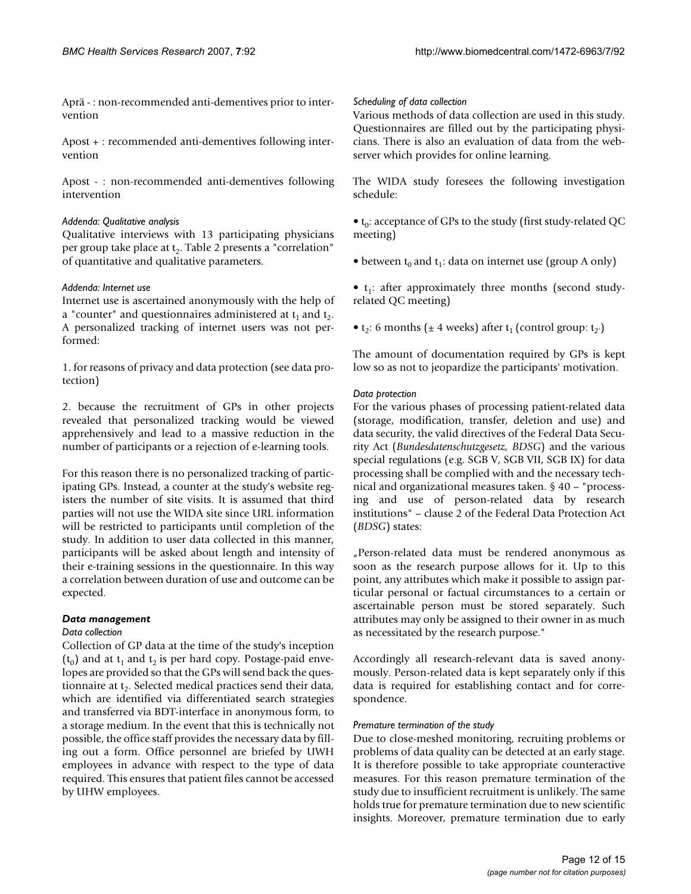Aprä - : non-recommended anti-dementives prior to intervention

Apost + : recommended anti-dementives following intervention

Apost - : non-recommended anti-dementives following intervention

# *Addenda: Qualitative analysis*

Qualitative interviews with 13 participating physicians per group take place at  $t<sub>2</sub>$ . Table 2 presents a "correlation" of quantitative and qualitative parameters.

# *Addenda: Internet use*

Internet use is ascertained anonymously with the help of a "counter" and questionnaires administered at  $t_1$  and  $t_2$ . A personalized tracking of internet users was not performed:

1. for reasons of privacy and data protection (see data protection)

2. because the recruitment of GPs in other projects revealed that personalized tracking would be viewed apprehensively and lead to a massive reduction in the number of participants or a rejection of e-learning tools.

For this reason there is no personalized tracking of participating GPs. Instead, a counter at the study's website registers the number of site visits. It is assumed that third parties will not use the WIDA site since URL information will be restricted to participants until completion of the study. In addition to user data collected in this manner, participants will be asked about length and intensity of their e-training sessions in the questionnaire. In this way a correlation between duration of use and outcome can be expected.

#### *Data management*

#### *Data collection*

Collection of GP data at the time of the study's inception  $(t_0)$  and at  $t_1$  and  $t_2$  is per hard copy. Postage-paid envelopes are provided so that the GPs will send back the questionnaire at  $t_2$ . Selected medical practices send their data, which are identified via differentiated search strategies and transferred via BDT-interface in anonymous form, to a storage medium. In the event that this is technically not possible, the office staff provides the necessary data by filling out a form. Office personnel are briefed by UWH employees in advance with respect to the type of data required. This ensures that patient files cannot be accessed by UHW employees.

## *Scheduling of data collection*

Various methods of data collection are used in this study. Questionnaires are filled out by the participating physicians. There is also an evaluation of data from the webserver which provides for online learning.

The WIDA study foresees the following investigation schedule:

 $\bullet$  t<sub>0</sub>: acceptance of GPs to the study (first study-related QC meeting)

• between  $t_0$  and  $t_1$ : data on internet use (group A only)

•  $t_1$ : after approximately three months (second studyrelated QC meeting)

•  $t_2$ : 6 months ( $\pm$  4 weeks) after  $t_1$  (control group:  $t_2$ )

The amount of documentation required by GPs is kept low so as not to jeopardize the participants' motivation.

#### *Data protection*

For the various phases of processing patient-related data (storage, modification, transfer, deletion and use) and data security, the valid directives of the Federal Data Security Act (*Bundesdatenschutzgesetz, BDSG*) and the various special regulations (e.g. SGB V, SGB VII, SGB IX) for data processing shall be complied with and the necessary technical and organizational measures taken. § 40 – "processing and use of person-related data by research institutions" – clause 2 of the Federal Data Protection Act (*BDSG*) states:

"Person-related data must be rendered anonymous as soon as the research purpose allows for it. Up to this point, any attributes which make it possible to assign particular personal or factual circumstances to a certain or ascertainable person must be stored separately. Such attributes may only be assigned to their owner in as much as necessitated by the research purpose."

Accordingly all research-relevant data is saved anonymously. Person-related data is kept separately only if this data is required for establishing contact and for correspondence.

#### *Premature termination of the study*

Due to close-meshed monitoring, recruiting problems or problems of data quality can be detected at an early stage. It is therefore possible to take appropriate counteractive measures. For this reason premature termination of the study due to insufficient recruitment is unlikely. The same holds true for premature termination due to new scientific insights. Moreover, premature termination due to early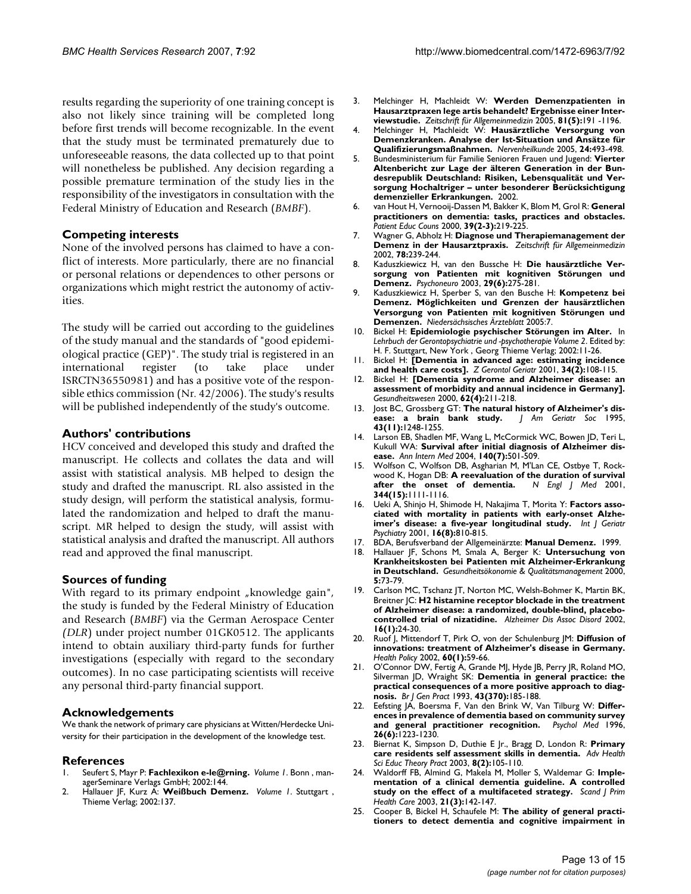results regarding the superiority of one training concept is also not likely since training will be completed long before first trends will become recognizable. In the event that the study must be terminated prematurely due to unforeseeable reasons, the data collected up to that point will nonetheless be published. Any decision regarding a possible premature termination of the study lies in the responsibility of the investigators in consultation with the Federal Ministry of Education and Research (*BMBF*).

# **Competing interests**

None of the involved persons has claimed to have a conflict of interests. More particularly, there are no financial or personal relations or dependences to other persons or organizations which might restrict the autonomy of activities.

The study will be carried out according to the guidelines of the study manual and the standards of "good epidemiological practice (GEP)". The study trial is registered in an international register (to take place under ISRCTN36550981) and has a positive vote of the responsible ethics commission (Nr. 42/2006). The study's results will be published independently of the study's outcome.

#### **Authors' contributions**

HCV conceived and developed this study and drafted the manuscript. He collects and collates the data and will assist with statistical analysis. MB helped to design the study and drafted the manuscript. RL also assisted in the study design, will perform the statistical analysis, formulated the randomization and helped to draft the manuscript. MR helped to design the study, will assist with statistical analysis and drafted the manuscript. All authors read and approved the final manuscript.

#### **Sources of funding**

With regard to its primary endpoint "knowledge gain", the study is funded by the Federal Ministry of Education and Research (*BMBF*) via the German Aerospace Center *(DLR*) under project number 01GK0512. The applicants intend to obtain auxiliary third-party funds for further investigations (especially with regard to the secondary outcomes). In no case participating scientists will receive any personal third-party financial support.

#### **Acknowledgements**

We thank the network of primary care physicians at Witten/Herdecke University for their participation in the development of the knowledge test.

#### **References**

- 1. Seufert S, Mayr P: **Fachlexikon e-le@rning.** *Volume 1*. Bonn , managerSeminare Verlags GmbH; 2002:144.
- 2. Hallauer JF, Kurz A: **Weißbuch Demenz.** *Volume 1*. Stuttgart , Thieme Verlag; 2002:137.
- 3. Melchinger H, Machleidt W: **Werden Demenzpatienten in Hausarztpraxen lege artis behandelt? Ergebnisse einer Interviewstudie.** *Zeitschrift für Allgemeinmedizin* 2005, **81(5):**191 -1196.
- 4. Melchinger H, Machleidt W: **Hausärztliche Versorgung von Demenzkranken. Analyse der Ist-Situation und Ansätze für Qualifizierungsmaßnahmen.** *Nervenheilkunde* 2005, **24:**493-498.
- 5. Bundesministerium für Familie Senioren Frauen und Jugend: **Vierter Altenbericht zur Lage der älteren Generation in der Bundesrepublik Deutschland: Risiken, Lebensqualität und Versorgung Hochaltriger – unter besonderer Berücksichtigung demenzieller Erkrankungen.** 2002.
- 6. van Hout H, Vernooij-Dassen M, Bakker K, Blom M, Grol R: **[General](http://www.ncbi.nlm.nih.gov/entrez/query.fcgi?cmd=Retrieve&db=PubMed&dopt=Abstract&list_uids=11040721) [practitioners on dementia: tasks, practices and obstacles.](http://www.ncbi.nlm.nih.gov/entrez/query.fcgi?cmd=Retrieve&db=PubMed&dopt=Abstract&list_uids=11040721)** *Patient Educ Couns* 2000, **39(2-3):**219-225.
- 7. Wagner G, Abholz H: **Diagnose und Therapiemanagement der Demenz in der Hausarztpraxis.** *Zeitschrift für Allgemeinmedizin* 2002, **78:**239-244.
- 8. Kaduszkiewicz H, van den Bussche H: **Die hausärztliche Versorgung von Patienten mit kognitiven Störungen und Demenz.** *Psychoneuro* 2003, **29(6):**275-281.
- 9. Kaduszkiewicz H, Sperber S, van den Busche H: **Kompetenz bei Demenz. Möglichkeiten und Grenzen der hausärztlichen Versorgung von Patienten mit kognitiven Störungen und Demenzen.** *Niedersächsisches Ärzteblatt* 2005:7.
- 10. Bickel H: **Epidemiologie psychischer Störungen im Alter.** In *Lehrbuch der Gerontopsychiatrie und -psychotherapie Volume 2*. Edited by: H. F. Stuttgart, New York , Georg Thieme Verlag; 2002:11-26.
- 11. Bickel H: **[\[Dementia in advanced age: estimating incidence](http://www.ncbi.nlm.nih.gov/entrez/query.fcgi?cmd=Retrieve&db=PubMed&dopt=Abstract&list_uids=11393002) [and health care costs\].](http://www.ncbi.nlm.nih.gov/entrez/query.fcgi?cmd=Retrieve&db=PubMed&dopt=Abstract&list_uids=11393002)** *Z Gerontol Geriatr* 2001, **34(2):**108-115.
- 12. Bickel H: **[\[Dementia syndrome and Alzheimer disease: an](http://www.ncbi.nlm.nih.gov/entrez/query.fcgi?cmd=Retrieve&db=PubMed&dopt=Abstract&list_uids=10844818) [assessment of morbidity and annual incidence in Germany\].](http://www.ncbi.nlm.nih.gov/entrez/query.fcgi?cmd=Retrieve&db=PubMed&dopt=Abstract&list_uids=10844818)** *Gesundheitswesen* 2000, **62(4):**211-218.
- 13. Jost BC, Grossberg GT: **The natural history of Alzheimer's dis-**<br>ease: a brain bank study. J Am Geriatr Soc 1995, [ease: a brain bank study.](http://www.ncbi.nlm.nih.gov/entrez/query.fcgi?cmd=Retrieve&db=PubMed&dopt=Abstract&list_uids=7594159) **43(11):**1248-1255.
- 14. Larson EB, Shadlen MF, Wang L, McCormick WC, Bowen JD, Teri L, Kukull WA: **[Survival after initial diagnosis of Alzheimer dis](http://www.ncbi.nlm.nih.gov/entrez/query.fcgi?cmd=Retrieve&db=PubMed&dopt=Abstract&list_uids=15068977)[ease.](http://www.ncbi.nlm.nih.gov/entrez/query.fcgi?cmd=Retrieve&db=PubMed&dopt=Abstract&list_uids=15068977)** *Ann Intern Med* 2004, **140(7):**501-509.
- 15. Wolfson C, Wolfson DB, Asgharian M, M'Lan CE, Ostbye T, Rockwood K, Hogan DB: **[A reevaluation of the duration of survival](http://www.ncbi.nlm.nih.gov/entrez/query.fcgi?cmd=Retrieve&db=PubMed&dopt=Abstract&list_uids=11297701)** [after the onset of dementia.](http://www.ncbi.nlm.nih.gov/entrez/query.fcgi?cmd=Retrieve&db=PubMed&dopt=Abstract&list_uids=11297701) **344(15):**1111-1116.
- 16. Ueki A, Shinjo H, Shimode H, Nakajima T, Morita Y: **[Factors asso](http://www.ncbi.nlm.nih.gov/entrez/query.fcgi?cmd=Retrieve&db=PubMed&dopt=Abstract&list_uids=11536348)[ciated with mortality in patients with early-onset Alzhe](http://www.ncbi.nlm.nih.gov/entrez/query.fcgi?cmd=Retrieve&db=PubMed&dopt=Abstract&list_uids=11536348)[imer's disease: a five-year longitudinal study.](http://www.ncbi.nlm.nih.gov/entrez/query.fcgi?cmd=Retrieve&db=PubMed&dopt=Abstract&list_uids=11536348)** *Int J Geriatr Psychiatry* 2001, **16(8):**810-815.
- 17. BDA, Berufsverband der Allgemeinärzte: **Manual Demenz.** 1999.
- 18. Hallauer JF, Schons M, Smala A, Berger K: **Untersuchung von Krankheitskosten bei Patienten mit Alzheimer-Erkrankung in Deutschland.** *Gesundheitsökonomie & Qualitätsmanagement* 2000, **5:**73-79.
- 19. Carlson MC, Tschanz JT, Norton MC, Welsh-Bohmer K, Martin BK, Breitner JC: **[H2 histamine receptor blockade in the treatment](http://www.ncbi.nlm.nih.gov/entrez/query.fcgi?cmd=Retrieve&db=PubMed&dopt=Abstract&list_uids=11882746) [of Alzheimer disease: a randomized, double-blind, placebo](http://www.ncbi.nlm.nih.gov/entrez/query.fcgi?cmd=Retrieve&db=PubMed&dopt=Abstract&list_uids=11882746)[controlled trial of nizatidine.](http://www.ncbi.nlm.nih.gov/entrez/query.fcgi?cmd=Retrieve&db=PubMed&dopt=Abstract&list_uids=11882746)** *Alzheimer Dis Assoc Disord* 2002, **16(1):**24-30.
- 20. Ruof J, Mittendorf T, Pirk O, von der Schulenburg JM: **[Diffusion of](http://www.ncbi.nlm.nih.gov/entrez/query.fcgi?cmd=Retrieve&db=PubMed&dopt=Abstract&list_uids=11879945) [innovations: treatment of Alzheimer's disease in Germany.](http://www.ncbi.nlm.nih.gov/entrez/query.fcgi?cmd=Retrieve&db=PubMed&dopt=Abstract&list_uids=11879945)** *Health Policy* 2002, **60(1):**59-66.
- 21. O'Connor DW, Fertig A, Grande MJ, Hyde JB, Perry JR, Roland MO, Silverman JD, Wraight SK: **[Dementia in general practice: the](http://www.ncbi.nlm.nih.gov/entrez/query.fcgi?cmd=Retrieve&db=PubMed&dopt=Abstract&list_uids=8347384) [practical consequences of a more positive approach to diag](http://www.ncbi.nlm.nih.gov/entrez/query.fcgi?cmd=Retrieve&db=PubMed&dopt=Abstract&list_uids=8347384)[nosis.](http://www.ncbi.nlm.nih.gov/entrez/query.fcgi?cmd=Retrieve&db=PubMed&dopt=Abstract&list_uids=8347384)** *Br J Gen Pract* 1993, **43(370):**185-188.
- 22. Eefsting JA, Boersma F, Van den Brink W, Van Tilburg W: **[Differ](http://www.ncbi.nlm.nih.gov/entrez/query.fcgi?cmd=Retrieve&db=PubMed&dopt=Abstract&list_uids=8931168)[ences in prevalence of dementia based on community survey](http://www.ncbi.nlm.nih.gov/entrez/query.fcgi?cmd=Retrieve&db=PubMed&dopt=Abstract&list_uids=8931168) [and general practitioner recognition.](http://www.ncbi.nlm.nih.gov/entrez/query.fcgi?cmd=Retrieve&db=PubMed&dopt=Abstract&list_uids=8931168)** *Psychol Med* 1996, **26(6):**1223-1230.
- 23. Biernat K, Simpson D, Duthie E Jr., Bragg D, London R: **[Primary](http://www.ncbi.nlm.nih.gov/entrez/query.fcgi?cmd=Retrieve&db=PubMed&dopt=Abstract&list_uids=12913369) [care residents self assessment skills in dementia.](http://www.ncbi.nlm.nih.gov/entrez/query.fcgi?cmd=Retrieve&db=PubMed&dopt=Abstract&list_uids=12913369)** *Adv Health Sci Educ Theory Pract* 2003, **8(2):**105-110.
- 24. Waldorff FB, Almind G, Makela M, Moller S, Waldemar G: **[Imple](http://www.ncbi.nlm.nih.gov/entrez/query.fcgi?cmd=Retrieve&db=PubMed&dopt=Abstract&list_uids=14531504)[mentation of a clinical dementia guideline. A controlled](http://www.ncbi.nlm.nih.gov/entrez/query.fcgi?cmd=Retrieve&db=PubMed&dopt=Abstract&list_uids=14531504) [study on the effect of a multifaceted strategy.](http://www.ncbi.nlm.nih.gov/entrez/query.fcgi?cmd=Retrieve&db=PubMed&dopt=Abstract&list_uids=14531504)** *Scand J Prim Health Care* 2003, **21(3):**142-147.
- 25. Cooper B, Bickel H, Schaufele M: **The ability of general practitioners to detect dementia and cognitive impairment in**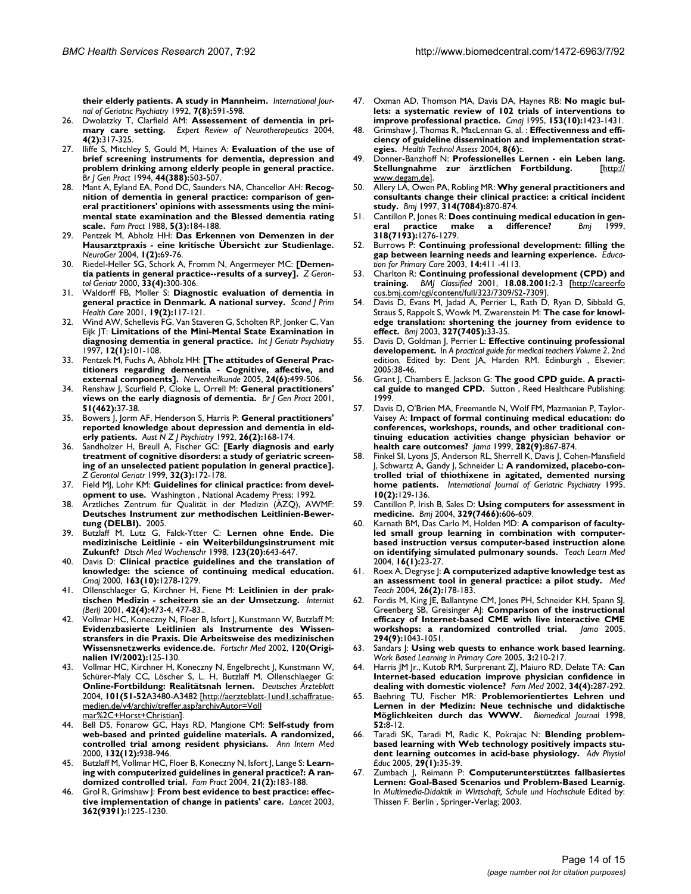**their elderly patients. A study in Mannheim.** *International Journal of Geriatric Psychiatry* 1992, **7(8):**591-598.

- 26. Dwolatzky T, Clarfield AM: **[Assessement of dementia in pri](http://www.ncbi.nlm.nih.gov/entrez/query.fcgi?cmd=Retrieve&db=PubMed&dopt=Abstract&list_uids=15853573)[mary care setting.](http://www.ncbi.nlm.nih.gov/entrez/query.fcgi?cmd=Retrieve&db=PubMed&dopt=Abstract&list_uids=15853573)** *Expert Review of Neurotherapeutics* 2004, **4(2):**317-325.
- 27. Iliffe S, Mitchley S, Gould M, Haines A: **[Evaluation of the use of](http://www.ncbi.nlm.nih.gov/entrez/query.fcgi?cmd=Retrieve&db=PubMed&dopt=Abstract&list_uids=7748646) [brief screening instruments for dementia, depression and](http://www.ncbi.nlm.nih.gov/entrez/query.fcgi?cmd=Retrieve&db=PubMed&dopt=Abstract&list_uids=7748646) problem drinking among elderly people in general practice.** *Br J Gen Pract* 1994, **44(388):**503-507.
- 28. Mant A, Eyland EA, Pond DC, Saunders NA, Chancellor AH: **[Recog](http://www.ncbi.nlm.nih.gov/entrez/query.fcgi?cmd=Retrieve&db=PubMed&dopt=Abstract&list_uids=3224784)[nition of dementia in general practice: comparison of gen](http://www.ncbi.nlm.nih.gov/entrez/query.fcgi?cmd=Retrieve&db=PubMed&dopt=Abstract&list_uids=3224784)eral practitioners' opinions with assessments using the minimental state examination and the Blessed dementia rating [scale.](http://www.ncbi.nlm.nih.gov/entrez/query.fcgi?cmd=Retrieve&db=PubMed&dopt=Abstract&list_uids=3224784)** *Fam Pract* 1988, **5(3):**184-188.
- 29. Pentzek M, Abholz HH: **Das Erkennen von Demenzen in der Hausarztpraxis - eine kritische Übersicht zur Studienlage.** *NeuroGer* 2004, **1(2):**69-76.
- 30. Riedel-Heller SG, Schork A, Fromm N, Angermeyer MC: **[\[Demen](http://www.ncbi.nlm.nih.gov/entrez/query.fcgi?cmd=Retrieve&db=PubMed&dopt=Abstract&list_uids=11028282)[tia patients in general practice--results of a survey\].](http://www.ncbi.nlm.nih.gov/entrez/query.fcgi?cmd=Retrieve&db=PubMed&dopt=Abstract&list_uids=11028282)** *Z Gerontol Geriatr* 2000, **33(4):**300-306.
- 31. Waldorff FB, Moller S: **[Diagnostic evaluation of dementia in](http://www.ncbi.nlm.nih.gov/entrez/query.fcgi?cmd=Retrieve&db=PubMed&dopt=Abstract&list_uids=11482412) [general practice in Denmark. A national survey.](http://www.ncbi.nlm.nih.gov/entrez/query.fcgi?cmd=Retrieve&db=PubMed&dopt=Abstract&list_uids=11482412)** *Scand J Prim Health Care* 2001, **19(2):**117-121.
- 32. Wind AW, Schellevis FG, Van Staveren G, Scholten RP, Jonker C, Van Eijk JT: **[Limitations of the Mini-Mental State Examination in](http://www.ncbi.nlm.nih.gov/entrez/query.fcgi?cmd=Retrieve&db=PubMed&dopt=Abstract&list_uids=9050431) [diagnosing dementia in general practice.](http://www.ncbi.nlm.nih.gov/entrez/query.fcgi?cmd=Retrieve&db=PubMed&dopt=Abstract&list_uids=9050431)** *Int J Geriatr Psychiatry* 1997, **12(1):**101-108.
- 33. Pentzek M, Fuchs A, Abholz HH: **[The attitudes of General Practitioners regarding dementia - Cognitive, affective, and external components].** *Nervenheilkunde* 2005, **24(6):**499-506.
- 34. Renshaw J, Scurfield P, Cloke L, Orrell M: **[General practitioners'](http://www.ncbi.nlm.nih.gov/entrez/query.fcgi?cmd=Retrieve&db=PubMed&dopt=Abstract&list_uids=11271871) [views on the early diagnosis of dementia.](http://www.ncbi.nlm.nih.gov/entrez/query.fcgi?cmd=Retrieve&db=PubMed&dopt=Abstract&list_uids=11271871)** *Br J Gen Pract* 2001, **51(462):**37-38.
- 35. Bowers J, Jorm AF, Henderson S, Harris P: **[General practitioners'](http://www.ncbi.nlm.nih.gov/entrez/query.fcgi?cmd=Retrieve&db=PubMed&dopt=Abstract&list_uids=1642607) [reported knowledge about depression and dementia in eld](http://www.ncbi.nlm.nih.gov/entrez/query.fcgi?cmd=Retrieve&db=PubMed&dopt=Abstract&list_uids=1642607)[erly patients.](http://www.ncbi.nlm.nih.gov/entrez/query.fcgi?cmd=Retrieve&db=PubMed&dopt=Abstract&list_uids=1642607)** *Aust N Z J Psychiatry* 1992, **26(2):**168-174.
- 36. Sandholzer H, Breull A, Fischer GC: **[\[Early diagnosis and early](http://www.ncbi.nlm.nih.gov/entrez/query.fcgi?cmd=Retrieve&db=PubMed&dopt=Abstract&list_uids=10436497) [treatment of cognitive disorders: a study of geriatric screen](http://www.ncbi.nlm.nih.gov/entrez/query.fcgi?cmd=Retrieve&db=PubMed&dopt=Abstract&list_uids=10436497)ing of an unselected patient population in general practice].** *Z Gerontol Geriatr* 1999, **32(3):**172-178.
- 37. Field MJ, Lohr KM: **Guidelines for clinical practice: from development to use.** Washington, National Academy Press; 1992.
- 38. Ärztliches Zentrum für Qualität in der Medizin (ÄZQ), AWMF: **Deutsches Instrument zur methodischen Leitlinien-Bewertung (DELBI).** 2005.
- 39. Butzlaff M, Lutz G, Falck-Ytter C: **[Lernen ohne Ende. Die](http://www.ncbi.nlm.nih.gov/entrez/query.fcgi?cmd=Retrieve&db=PubMed&dopt=Abstract&list_uids=9627574) [medizinische Leitlinie - ein Weiterbildungsinstrument mit](http://www.ncbi.nlm.nih.gov/entrez/query.fcgi?cmd=Retrieve&db=PubMed&dopt=Abstract&list_uids=9627574) [Zukunft?](http://www.ncbi.nlm.nih.gov/entrez/query.fcgi?cmd=Retrieve&db=PubMed&dopt=Abstract&list_uids=9627574)** *Dtsch Med Wochenschr* 1998, **123(20):**643-647.
- 40. Davis D: **[Clinical practice guidelines and the translation of](http://www.ncbi.nlm.nih.gov/entrez/query.fcgi?cmd=Retrieve&db=PubMed&dopt=Abstract&list_uids=11107464) [knowledge: the science of continuing medical education.](http://www.ncbi.nlm.nih.gov/entrez/query.fcgi?cmd=Retrieve&db=PubMed&dopt=Abstract&list_uids=11107464)** *Cmaj* 2000, **163(10):**1278-1279.
- 41. Ollenschlaeger G, Kirchner H, Fiene M: **[Leitlinien in der prak](http://www.ncbi.nlm.nih.gov/entrez/query.fcgi?cmd=Retrieve&db=PubMed&dopt=Abstract&list_uids=11326730)[tischen Medizin - scheitern sie an der Umsetzung.](http://www.ncbi.nlm.nih.gov/entrez/query.fcgi?cmd=Retrieve&db=PubMed&dopt=Abstract&list_uids=11326730)** *Internist (Berl)* 2001, **42(4):**473-4, 477-83..
- 42. Vollmar HC, Koneczny N, Floer B, Isfort J, Kunstmann W, Butzlaff M: **Evidenzbasierte Leitlinien als Instrumente des Wissenstransfers in die Praxis. Die Arbeitsweise des medizinischen Wissensnetzwerks evidence.de.** *Fortschr Med* 2002, **120(Originalien IV/2002):**125-130.
- 43. Vollmar HC, Kirchner H, Koneczny N, Engelbrecht J, Kunstmann W, Schürer-Maly CC, Löscher S, L. H, Butzlaff M, Ollenschlaeger G: **Online-Fortbildung: Realitätsnah lernen.** *Deutsches Ärzteblatt* 2004, **101(51-52**A3480-A3482 [[http://aerzteblatt-1und1.schaffratue](http://aerzteblatt-1und1.schaffrath-neuemedien.de/v4/archiv/treffer.asp?archivAutor=Vollmar%2C+Horst+Christian)[medien.de/v4/archiv/treffer.asp?archivAutor=Voll](http://aerzteblatt-1und1.schaffrath-neuemedien.de/v4/archiv/treffer.asp?archivAutor=Vollmar%2C+Horst+Christian) [mar%2C+Horst+Christian\]](http://aerzteblatt-1und1.schaffrath-neuemedien.de/v4/archiv/treffer.asp?archivAutor=Vollmar%2C+Horst+Christian).
- 44. Bell DS, Fonarow GC, Hays RD, Mangione CM: **[Self-study from](http://www.ncbi.nlm.nih.gov/entrez/query.fcgi?cmd=Retrieve&db=PubMed&dopt=Abstract&list_uids=10858176) [web-based and printed guideline materials. A randomized,](http://www.ncbi.nlm.nih.gov/entrez/query.fcgi?cmd=Retrieve&db=PubMed&dopt=Abstract&list_uids=10858176) [controlled trial among resident physicians.](http://www.ncbi.nlm.nih.gov/entrez/query.fcgi?cmd=Retrieve&db=PubMed&dopt=Abstract&list_uids=10858176)** *Ann Intern Med* 2000, **132(12):**938-946.
- 45. Butzlaff M, Vollmar HC, Floer B, Koneczny N, Isfort J, Lange S: **[Learn](http://www.ncbi.nlm.nih.gov/entrez/query.fcgi?cmd=Retrieve&db=PubMed&dopt=Abstract&list_uids=15020389)[ing with computerized guidelines in general practice?: A ran](http://www.ncbi.nlm.nih.gov/entrez/query.fcgi?cmd=Retrieve&db=PubMed&dopt=Abstract&list_uids=15020389)[domized controlled trial.](http://www.ncbi.nlm.nih.gov/entrez/query.fcgi?cmd=Retrieve&db=PubMed&dopt=Abstract&list_uids=15020389)** *Fam Pract* 2004, **21(2):**183-188.
- Grol R, Grimshaw J: [From best evidence to best practice: effec](http://www.ncbi.nlm.nih.gov/entrez/query.fcgi?cmd=Retrieve&db=PubMed&dopt=Abstract&list_uids=14568747)**[tive implementation of change in patients' care.](http://www.ncbi.nlm.nih.gov/entrez/query.fcgi?cmd=Retrieve&db=PubMed&dopt=Abstract&list_uids=14568747)** *Lancet* 2003, **362(9391):**1225-1230.
- 47. Oxman AD, Thomson MA, Davis DA, Haynes RB: **[No magic bul](http://www.ncbi.nlm.nih.gov/entrez/query.fcgi?cmd=Retrieve&db=PubMed&dopt=Abstract&list_uids=7585368)[lets: a systematic review of 102 trials of interventions to](http://www.ncbi.nlm.nih.gov/entrez/query.fcgi?cmd=Retrieve&db=PubMed&dopt=Abstract&list_uids=7585368) [improve professional practice.](http://www.ncbi.nlm.nih.gov/entrez/query.fcgi?cmd=Retrieve&db=PubMed&dopt=Abstract&list_uids=7585368)** *Cmaj* 1995, **153(10):**1423-1431.
- 48. Grimshaw J, Thomas R, MacLennan G, al. : **[Effectivenness and effi](http://www.ncbi.nlm.nih.gov/entrez/query.fcgi?cmd=Retrieve&db=PubMed&dopt=Abstract&list_uids=14960256)[ciency of guideline dissemination and implementation strat](http://www.ncbi.nlm.nih.gov/entrez/query.fcgi?cmd=Retrieve&db=PubMed&dopt=Abstract&list_uids=14960256)[egies.](http://www.ncbi.nlm.nih.gov/entrez/query.fcgi?cmd=Retrieve&db=PubMed&dopt=Abstract&list_uids=14960256)** *Health Technol Assess* 2004, **8(6):**.
- 49. Donner-Banzhoff N: **Professionelles Lernen ein Leben lang.** Stellungnahme zur ärztlichen Fortbildung. [www.degam.de\]](http://www.degam.de).
- 50. Allery LA, Owen PA, Robling MR: **[Why general practitioners and](http://www.ncbi.nlm.nih.gov/entrez/query.fcgi?cmd=Retrieve&db=PubMed&dopt=Abstract&list_uids=9093100) [consultants change their clinical practice: a critical incident](http://www.ncbi.nlm.nih.gov/entrez/query.fcgi?cmd=Retrieve&db=PubMed&dopt=Abstract&list_uids=9093100) [study.](http://www.ncbi.nlm.nih.gov/entrez/query.fcgi?cmd=Retrieve&db=PubMed&dopt=Abstract&list_uids=9093100)** *Bmj* 1997, **314(7084):**870-874.
- 51. Cantillon P, Jones R: **Does continuing medical education in gen-**<br>eral practice make a difference? Bmj 1999, **[eral practice make a difference?](http://www.ncbi.nlm.nih.gov/entrez/query.fcgi?cmd=Retrieve&db=PubMed&dopt=Abstract&list_uids=10231265)** *Bmj* 1999, **318(7193):**1276-1279.
- 52. Burrows P: **Continuing professional development: filling the gap between learning needs and learning experience.** *Education for Primary Care* 2003, **14:**411 -4113.
- 53. Charlton R: **Continuing professional development (CPD) and training.** *BMJ Classified* 2001, **18.08.2001:**2-3 [\[http://careerfo](http://careerfocus.bmj.com/cgi/content/full/323/7309/S2-7309) [cus.bmj.com/cgi/content/full/323/7309/S2-7309](http://careerfocus.bmj.com/cgi/content/full/323/7309/S2-7309)].
- 54. Davis D, Evans M, Jadad A, Perrier L, Rath D, Ryan D, Sibbald G, Straus S, Rappolt S, Wowk M, Zwarenstein M: **[The case for knowl](http://www.ncbi.nlm.nih.gov/entrez/query.fcgi?cmd=Retrieve&db=PubMed&dopt=Abstract&list_uids=12842955)[edge translation: shortening the journey from evidence to](http://www.ncbi.nlm.nih.gov/entrez/query.fcgi?cmd=Retrieve&db=PubMed&dopt=Abstract&list_uids=12842955) [effect.](http://www.ncbi.nlm.nih.gov/entrez/query.fcgi?cmd=Retrieve&db=PubMed&dopt=Abstract&list_uids=12842955)** *Bmj* 2003, **327(7405):**33-35.
- 55. Davis D, Goldman J, Perrier L: **Effective continuing professional developement.** In *A practical guide for medical teachers Volume 2*. 2nd edition. Edited by: Dent JA, Harden RM. Edinburgh , Elsevier; 2005:38-46.
- 56. Grant J, Chambers E, Jackson G: **The good CPD guide. A practical guide to manged CPD.** Sutton , Reed Healthcare Publishing; 1999.
- 57. Davis D, O'Brien MA, Freemantle N, Wolf FM, Mazmanian P, Taylor-Vaisey A: **[Impact of formal continuing medical education: do](http://www.ncbi.nlm.nih.gov/entrez/query.fcgi?cmd=Retrieve&db=PubMed&dopt=Abstract&list_uids=10478694) [conferences, workshops, rounds, and other traditional con](http://www.ncbi.nlm.nih.gov/entrez/query.fcgi?cmd=Retrieve&db=PubMed&dopt=Abstract&list_uids=10478694)tinuing education activities change physician behavior or [health care outcomes?](http://www.ncbi.nlm.nih.gov/entrez/query.fcgi?cmd=Retrieve&db=PubMed&dopt=Abstract&list_uids=10478694)** *Jama* 1999, **282(9):**867-874.
- 58. Finkel SI, Lyons JS, Anderson RL, Sherrell K, Davis J, Cohen-Mansfield J, Schwartz A, Gandy J, Schneider L: **A randomized, placebo-controlled trial of thiothixene in agitated, demented nursing home patients.** *International Journal of Geriatric Psychiatry* 1995, **10(2):**129-136.
- 59. Cantillon P, Irish B, Sales D: **[Using computers for assessment in](http://www.ncbi.nlm.nih.gov/entrez/query.fcgi?cmd=Retrieve&db=PubMed&dopt=Abstract&list_uids=15361445) [medicine.](http://www.ncbi.nlm.nih.gov/entrez/query.fcgi?cmd=Retrieve&db=PubMed&dopt=Abstract&list_uids=15361445)** *Bmj* 2004, **329(7466):**606-609.
- 60. Karnath BM, Das Carlo M, Holden MD: **[A comparison of faculty](http://www.ncbi.nlm.nih.gov/entrez/query.fcgi?cmd=Retrieve&db=PubMed&dopt=Abstract&list_uids=14987170)[led small group learning in combination with computer](http://www.ncbi.nlm.nih.gov/entrez/query.fcgi?cmd=Retrieve&db=PubMed&dopt=Abstract&list_uids=14987170)based instruction versus computer-based instruction alone [on identifying simulated pulmonary sounds.](http://www.ncbi.nlm.nih.gov/entrez/query.fcgi?cmd=Retrieve&db=PubMed&dopt=Abstract&list_uids=14987170)** *Teach Learn Med* 2004, **16(1):**23-27.
- 61. Roex A, Degryse J: **[A computerized adaptive knowledge test as](http://www.ncbi.nlm.nih.gov/entrez/query.fcgi?cmd=Retrieve&db=PubMed&dopt=Abstract&list_uids=15203528) [an assessment tool in general practice: a pilot study.](http://www.ncbi.nlm.nih.gov/entrez/query.fcgi?cmd=Retrieve&db=PubMed&dopt=Abstract&list_uids=15203528)** *Med Teach* 2004, **26(2):**178-183.
- 62. Fordis M, King JE, Ballantyne CM, Jones PH, Schneider KH, Spann SJ, Greenberg SB, Greisinger AJ: **[Comparison of the instructional](http://www.ncbi.nlm.nih.gov/entrez/query.fcgi?cmd=Retrieve&db=PubMed&dopt=Abstract&list_uids=16145024) [efficacy of Internet-based CME with live interactive CME](http://www.ncbi.nlm.nih.gov/entrez/query.fcgi?cmd=Retrieve&db=PubMed&dopt=Abstract&list_uids=16145024) [workshops: a randomized controlled trial.](http://www.ncbi.nlm.nih.gov/entrez/query.fcgi?cmd=Retrieve&db=PubMed&dopt=Abstract&list_uids=16145024)** *Jama* 2005, **294(9):**1043-1051.
- 63. Sandars J: **Using web quests to enhance work based learning.** *Work Based Learning in Primary Care* 2005, **3:**210-217.
- 64. Harris JM Jr., Kutob RM, Surprenant ZJ, Maiuro RD, Delate TA: **[Can](http://www.ncbi.nlm.nih.gov/entrez/query.fcgi?cmd=Retrieve&db=PubMed&dopt=Abstract&list_uids=12017143) [Internet-based education improve physician confidence in](http://www.ncbi.nlm.nih.gov/entrez/query.fcgi?cmd=Retrieve&db=PubMed&dopt=Abstract&list_uids=12017143) [dealing with domestic violence?](http://www.ncbi.nlm.nih.gov/entrez/query.fcgi?cmd=Retrieve&db=PubMed&dopt=Abstract&list_uids=12017143)** *Fam Med* 2002, **34(4):**287-292.
- 65. Baehring TU, Fischer MR: **Problemorientiertes Lehren und Lernen in der Medizin: Neue technische und didaktische Möglichkeiten durch das WWW.** *Biomedical Journal* 1998, **52:**8-12.
- Taradi SK, Taradi M, Radic K, Pokrajac N: [Blending problem](http://www.ncbi.nlm.nih.gov/entrez/query.fcgi?cmd=Retrieve&db=PubMed&dopt=Abstract&list_uids=15718381)**[based learning with Web technology positively impacts stu](http://www.ncbi.nlm.nih.gov/entrez/query.fcgi?cmd=Retrieve&db=PubMed&dopt=Abstract&list_uids=15718381)[dent learning outcomes in acid-base physiology.](http://www.ncbi.nlm.nih.gov/entrez/query.fcgi?cmd=Retrieve&db=PubMed&dopt=Abstract&list_uids=15718381)** *Adv Physiol Educ* 2005, **29(1):**35-39.
- 67. Zumbach J, Reimann P: **Computerunterstütztes fallbasiertes Lernen: Goal-Based Scenarios und Problem-Based Learnig.** In *Multimedia-Didaktik in Wirtschaft, Schule und Hochschule* Edited by: Thissen F. Berlin , Springer-Verlag; 2003.